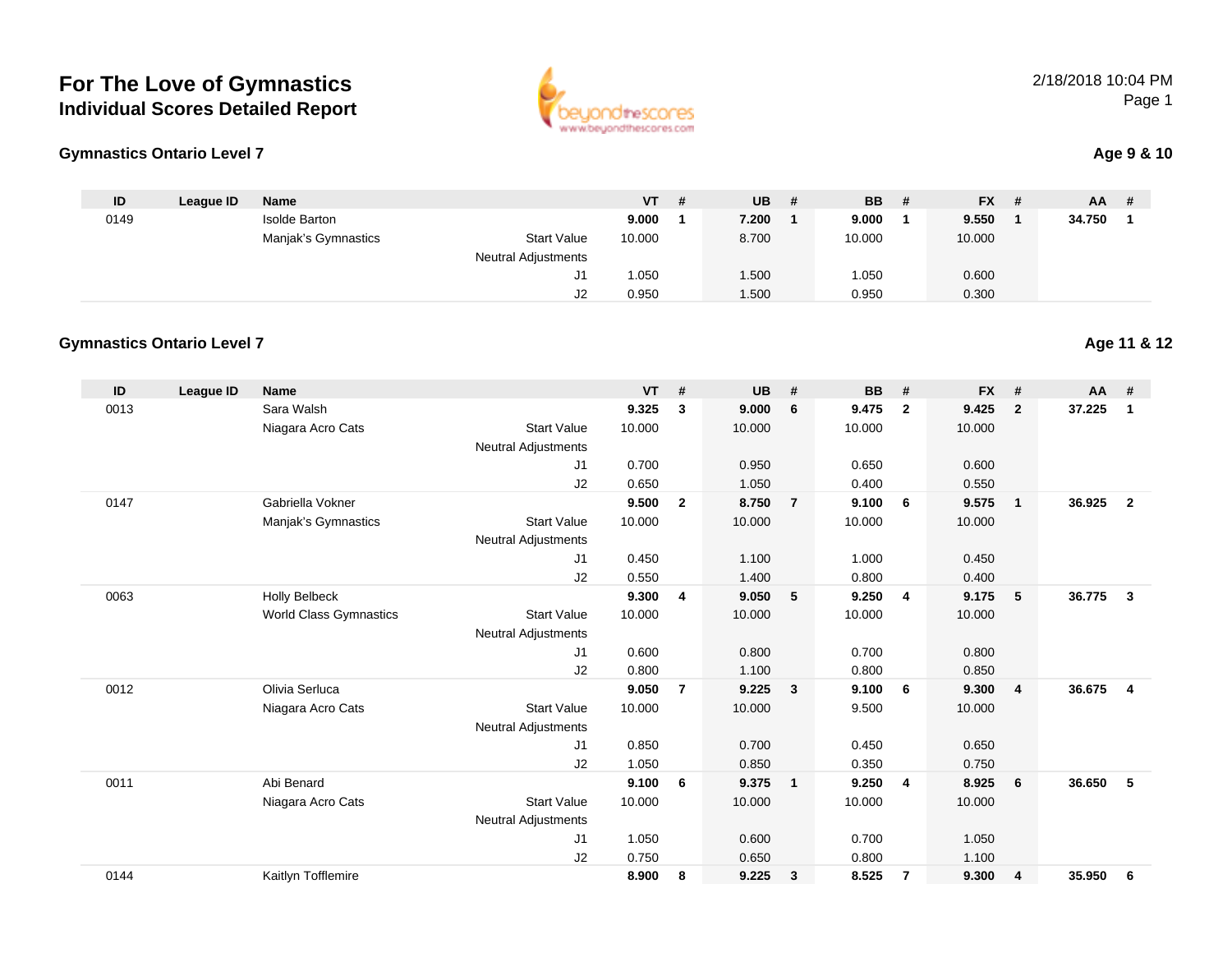

| beuondthescores         |
|-------------------------|
| www.beyondthescores.com |

### **Age 9 & 10**

| ID   | League ID | <b>Name</b>          |                            | <b>VT</b> | # | <b>UB</b> | - # | <b>BB</b> | -# | <b>FX</b> | # | <b>AA</b> | # |
|------|-----------|----------------------|----------------------------|-----------|---|-----------|-----|-----------|----|-----------|---|-----------|---|
| 0149 |           | <b>Isolde Barton</b> |                            | 9.000     |   | 7.200     |     | 9.000     |    | 9.550     |   | 34.750    |   |
|      |           | Manjak's Gymnastics  | <b>Start Value</b>         | 10.000    |   | 8.700     |     | 10.000    |    | 10.000    |   |           |   |
|      |           |                      | <b>Neutral Adjustments</b> |           |   |           |     |           |    |           |   |           |   |
|      |           |                      | ັປເ                        | .050      |   | 1.500     |     | 1.050     |    | 0.600     |   |           |   |
|      |           |                      | J2                         | 0.950     |   | 1.500     |     | 0.950     |    | 0.300     |   |           |   |

#### **Gymnastics Ontario Level 7**

| ID   | <b>League ID</b> | <b>Name</b>                   |                            | <b>VT</b> | #              | <b>UB</b> | #                       | <b>BB</b> | #                       | <b>FX</b> | #            | $AA$ # |                |
|------|------------------|-------------------------------|----------------------------|-----------|----------------|-----------|-------------------------|-----------|-------------------------|-----------|--------------|--------|----------------|
| 0013 |                  | Sara Walsh                    |                            | 9.325     | 3              | 9.000     | 6                       | 9.475     | $\mathbf{2}$            | 9.425     | $\mathbf{2}$ | 37.225 | $\mathbf{1}$   |
|      |                  | Niagara Acro Cats             | <b>Start Value</b>         | 10.000    |                | 10.000    |                         | 10.000    |                         | 10.000    |              |        |                |
|      |                  |                               | <b>Neutral Adjustments</b> |           |                |           |                         |           |                         |           |              |        |                |
|      |                  |                               | J1                         | 0.700     |                | 0.950     |                         | 0.650     |                         | 0.600     |              |        |                |
|      |                  |                               | J2                         | 0.650     |                | 1.050     |                         | 0.400     |                         | 0.550     |              |        |                |
| 0147 |                  | Gabriella Vokner              |                            | 9.500     | $\overline{2}$ | 8.750     | $\overline{7}$          | 9.100     | 6                       | 9.575     | $\mathbf{1}$ | 36.925 | $\overline{2}$ |
|      |                  | Manjak's Gymnastics           | <b>Start Value</b>         | 10.000    |                | 10.000    |                         | 10.000    |                         | 10.000    |              |        |                |
|      |                  |                               | <b>Neutral Adjustments</b> |           |                |           |                         |           |                         |           |              |        |                |
|      |                  |                               | J <sub>1</sub>             | 0.450     |                | 1.100     |                         | 1.000     |                         | 0.450     |              |        |                |
|      |                  |                               | J <sub>2</sub>             | 0.550     |                | 1.400     |                         | 0.800     |                         | 0.400     |              |        |                |
| 0063 |                  | <b>Holly Belbeck</b>          |                            | 9.300     | 4              | 9.050     | 5                       | 9.250     | $\overline{\mathbf{4}}$ | 9.175     | 5            | 36.775 | $\mathbf{3}$   |
|      |                  | <b>World Class Gymnastics</b> | <b>Start Value</b>         | 10.000    |                | 10.000    |                         | 10.000    |                         | 10.000    |              |        |                |
|      |                  |                               | <b>Neutral Adjustments</b> |           |                |           |                         |           |                         |           |              |        |                |
|      |                  |                               | J <sub>1</sub>             | 0.600     |                | 0.800     |                         | 0.700     |                         | 0.800     |              |        |                |
|      |                  |                               | J2                         | 0.800     |                | 1.100     |                         | 0.800     |                         | 0.850     |              |        |                |
| 0012 |                  | Olivia Serluca                |                            | 9.050     | $\overline{7}$ | 9.225     | $\overline{\mathbf{3}}$ | 9.100     | 6                       | 9.300     | 4            | 36.675 | $\overline{4}$ |
|      |                  | Niagara Acro Cats             | <b>Start Value</b>         | 10.000    |                | 10.000    |                         | 9.500     |                         | 10.000    |              |        |                |
|      |                  |                               | <b>Neutral Adjustments</b> |           |                |           |                         |           |                         |           |              |        |                |
|      |                  |                               | J1                         | 0.850     |                | 0.700     |                         | 0.450     |                         | 0.650     |              |        |                |
|      |                  |                               | J2                         | 1.050     |                | 0.850     |                         | 0.350     |                         | 0.750     |              |        |                |
| 0011 |                  | Abi Benard                    |                            | 9.100     | 6              | 9.375     | $\overline{\mathbf{1}}$ | 9.250     | $\overline{4}$          | 8.925     | 6            | 36.650 | 5              |
|      |                  | Niagara Acro Cats             | <b>Start Value</b>         | 10.000    |                | 10.000    |                         | 10.000    |                         | 10.000    |              |        |                |
|      |                  |                               | <b>Neutral Adjustments</b> |           |                |           |                         |           |                         |           |              |        |                |
|      |                  |                               | J <sub>1</sub>             | 1.050     |                | 0.600     |                         | 0.700     |                         | 1.050     |              |        |                |
|      |                  |                               | J <sub>2</sub>             | 0.750     |                | 0.650     |                         | 0.800     |                         | 1.100     |              |        |                |
| 0144 |                  | Kaitlyn Tofflemire            |                            | 8.900     | 8              | 9.225     | $\mathbf{3}$            | 8.525     | 7                       | 9.300     | 4            | 35.950 | 6              |

**Age 11 & 12**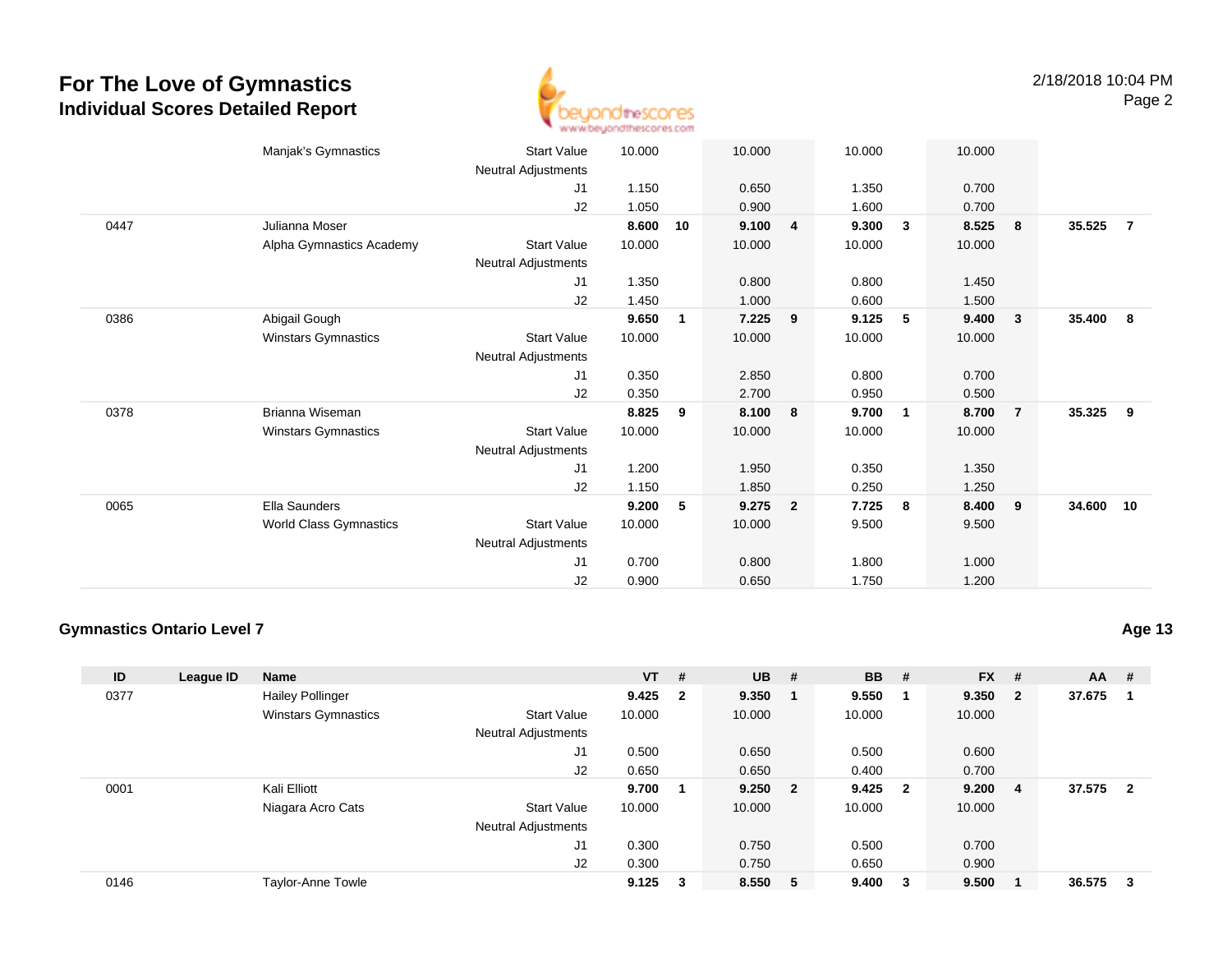

|      | Manjak's Gymnastics      | <b>Start Value</b>  | 10.000 |    | 10.000 |                | 10.000 |                | 10.000 |                |        |                |
|------|--------------------------|---------------------|--------|----|--------|----------------|--------|----------------|--------|----------------|--------|----------------|
|      |                          | Neutral Adjustments |        |    |        |                |        |                |        |                |        |                |
|      |                          | J <sub>1</sub>      | 1.150  |    | 0.650  |                | 1.350  |                | 0.700  |                |        |                |
|      |                          | J2                  | 1.050  |    | 0.900  |                | 1.600  |                | 0.700  |                |        |                |
| 0447 | Julianna Moser           |                     | 8.600  | 10 | 9.100  | 4              | 9.300  | $\mathbf{3}$   | 8.525  | 8              | 35.525 | $\overline{7}$ |
|      | Alpha Gymnastics Academy | <b>Start Value</b>  | 10.000 |    | 10.000 |                | 10.000 |                | 10.000 |                |        |                |
|      |                          | Neutral Adjustments |        |    |        |                |        |                |        |                |        |                |
|      |                          | J <sub>1</sub>      | 1.350  |    | 0.800  |                | 0.800  |                | 1.450  |                |        |                |
|      |                          | J2                  | 1.450  |    | 1.000  |                | 0.600  |                | 1.500  |                |        |                |
| 0386 | Abigail Gough            |                     | 9.650  | 1  | 7.225  | 9              | 9.125  | 5              | 9.400  | $\mathbf{3}$   | 35.400 | 8              |
|      | Winstars Gymnastics      | <b>Start Value</b>  | 10.000 |    | 10.000 |                | 10.000 |                | 10.000 |                |        |                |
|      |                          | Neutral Adjustments |        |    |        |                |        |                |        |                |        |                |
|      |                          | J1                  | 0.350  |    | 2.850  |                | 0.800  |                | 0.700  |                |        |                |
|      |                          | J2                  | 0.350  |    | 2.700  |                | 0.950  |                | 0.500  |                |        |                |
| 0378 | Brianna Wiseman          |                     | 8.825  | 9  | 8.100  | 8              | 9.700  | $\overline{1}$ | 8.700  | $\overline{7}$ | 35.325 | 9              |
|      | Winstars Gymnastics      | <b>Start Value</b>  | 10.000 |    | 10.000 |                | 10.000 |                | 10.000 |                |        |                |
|      |                          | Neutral Adjustments |        |    |        |                |        |                |        |                |        |                |
|      |                          | J1                  | 1.200  |    | 1.950  |                | 0.350  |                | 1.350  |                |        |                |
|      |                          | J2                  | 1.150  |    | 1.850  |                | 0.250  |                | 1.250  |                |        |                |
| 0065 | Ella Saunders            |                     | 9.200  | 5  | 9.275  | $\overline{2}$ | 7.725  | - 8            | 8.400  | 9              | 34.600 | 10             |
|      | World Class Gymnastics   | Start Value         | 10.000 |    | 10.000 |                | 9.500  |                | 9.500  |                |        |                |
|      |                          | Neutral Adjustments |        |    |        |                |        |                |        |                |        |                |
|      |                          | J <sub>1</sub>      | 0.700  |    | 0.800  |                | 1.800  |                | 1.000  |                |        |                |
|      |                          | J2                  | 0.900  |    | 0.650  |                | 1.750  |                | 1.200  |                |        |                |
|      |                          |                     |        |    |        |                |        |                |        |                |        |                |

#### **Gymnastics Ontario Level 7**

**ID League ID Name VT # UB # BB # FX # AA #** 0377 Hailey Pollinger **9.425 <sup>2</sup> 9.350 <sup>1</sup> 9.550 <sup>1</sup> 9.350 <sup>2</sup> 37.675 <sup>1</sup>** Winstars Gymnastics Start Valuee 10.000 10.000 10.000 10.000 Neutral Adjustments J1 0.500 0.650 0.500 0.600 J2 0.650 0.650 0.400 0.700 0001 Kali Elliott **9.700 <sup>1</sup> 9.250 <sup>2</sup> 9.425 <sup>2</sup> 9.200 <sup>4</sup> 37.575 <sup>2</sup>** Niagara Acro Cats Start Valuee 10.000 10.000 10.000 10.000 Neutral Adjustments J1 0.300 0.750 0.500 0.700 J2 0.300 0.750 0.650 0.900 0146Taylor-Anne Towle **9.125 <sup>3</sup> 8.550 <sup>5</sup> 9.400 <sup>3</sup> 9.500 <sup>1</sup> 36.575 <sup>3</sup>**

**Age 13**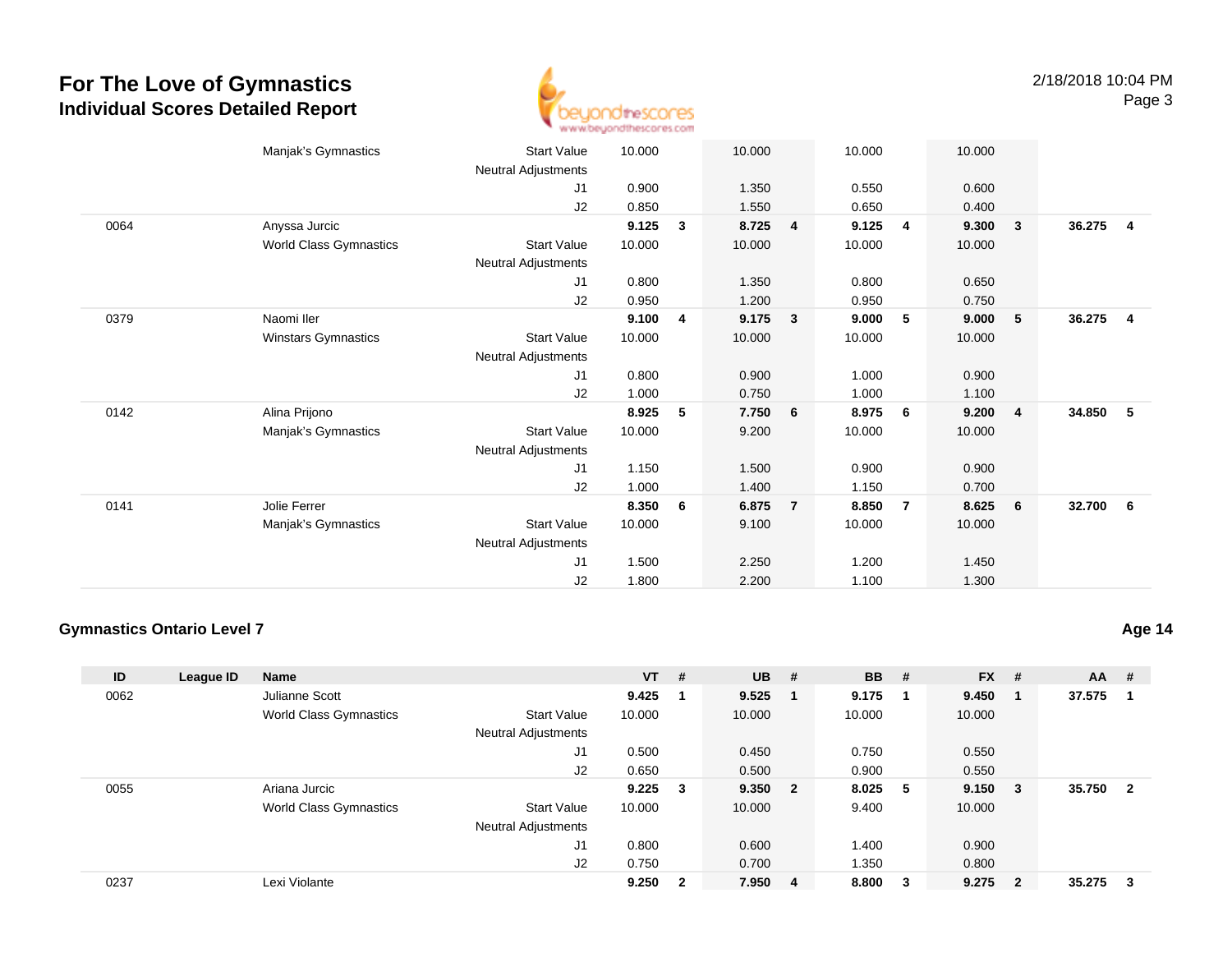

|      | Manjak's Gymnastics    | <b>Start Value</b>  | 10.000 |              | 10.000 |                | 10.000 |                | 10.000 |                         |        |                         |
|------|------------------------|---------------------|--------|--------------|--------|----------------|--------|----------------|--------|-------------------------|--------|-------------------------|
|      |                        | Neutral Adjustments |        |              |        |                |        |                |        |                         |        |                         |
|      |                        | J1                  | 0.900  |              | 1.350  |                | 0.550  |                | 0.600  |                         |        |                         |
|      |                        | J2                  | 0.850  |              | 1.550  |                | 0.650  |                | 0.400  |                         |        |                         |
| 0064 | Anyssa Jurcic          |                     | 9.125  | $\mathbf{3}$ | 8.725  | $\overline{4}$ | 9.125  | 4              | 9.300  | $\overline{\mathbf{3}}$ | 36.275 | $\overline{\mathbf{4}}$ |
|      | World Class Gymnastics | Start Value         | 10.000 |              | 10.000 |                | 10.000 |                | 10.000 |                         |        |                         |
|      |                        | Neutral Adjustments |        |              |        |                |        |                |        |                         |        |                         |
|      |                        | J1                  | 0.800  |              | 1.350  |                | 0.800  |                | 0.650  |                         |        |                         |
|      |                        | J2                  | 0.950  |              | 1.200  |                | 0.950  |                | 0.750  |                         |        |                         |
| 0379 | Naomi Iler             |                     | 9.100  | 4            | 9.175  | 3              | 9.000  | 5              | 9.000  | $5\phantom{1}$          | 36.275 | $\overline{\mathbf{4}}$ |
|      | Winstars Gymnastics    | <b>Start Value</b>  | 10.000 |              | 10.000 |                | 10.000 |                | 10.000 |                         |        |                         |
|      |                        | Neutral Adjustments |        |              |        |                |        |                |        |                         |        |                         |
|      |                        | J1                  | 0.800  |              | 0.900  |                | 1.000  |                | 0.900  |                         |        |                         |
|      |                        | J2                  | 1.000  |              | 0.750  |                | 1.000  |                | 1.100  |                         |        |                         |
| 0142 | Alina Prijono          |                     | 8.925  | 5            | 7.750  | 6              | 8.975  | 6              | 9.200  | $\overline{4}$          | 34.850 | $-5$                    |
|      | Manjak's Gymnastics    | <b>Start Value</b>  | 10.000 |              | 9.200  |                | 10.000 |                | 10.000 |                         |        |                         |
|      |                        | Neutral Adjustments |        |              |        |                |        |                |        |                         |        |                         |
|      |                        | J1                  | 1.150  |              | 1.500  |                | 0.900  |                | 0.900  |                         |        |                         |
|      |                        | J2                  | 1.000  |              | 1.400  |                | 1.150  |                | 0.700  |                         |        |                         |
| 0141 | Jolie Ferrer           |                     | 8.350  | 6            | 6.875  | $\overline{7}$ | 8.850  | $\overline{7}$ | 8.625  | 6                       | 32.700 | 6                       |
|      | Manjak's Gymnastics    | <b>Start Value</b>  | 10.000 |              | 9.100  |                | 10.000 |                | 10.000 |                         |        |                         |
|      |                        | Neutral Adjustments |        |              |        |                |        |                |        |                         |        |                         |
|      |                        | J1                  | 1.500  |              | 2.250  |                | 1.200  |                | 1.450  |                         |        |                         |
|      |                        | J2                  | 1.800  |              | 2.200  |                | 1.100  |                | 1.300  |                         |        |                         |
|      |                        |                     |        |              |        |                |        |                |        |                         |        |                         |

#### **Gymnastics Ontario Level 7**

**ID League ID Name VT # UB # BB # FX # AA #** 0062 Julianne Scott **9.425 <sup>1</sup> 9.525 <sup>1</sup> 9.175 <sup>1</sup> 9.450 <sup>1</sup> 37.575 <sup>1</sup>** World Class Gymnastics Start Valuee 10.000 10.000 10.000 10.000 Neutral Adjustments J1 0.500 0.450 0.750 0.550 J2 0.650 0.500 0.900 0.550 0055 Ariana Jurcic **9.225 <sup>3</sup> 9.350 <sup>2</sup> 8.025 <sup>5</sup> 9.150 <sup>3</sup> 35.750 <sup>2</sup>** World Class Gymnastics Start Valuee 10.000 10.000 9.400 10.000 Neutral Adjustments J1 0.800 0.600 1.400 0.900 J2 0.750 0.700 1.350 0.800 0237Lexi Violante **9.250 <sup>2</sup> 7.950 <sup>4</sup> 8.800 <sup>3</sup> 9.275 <sup>2</sup> 35.275 <sup>3</sup>**

**Age 14**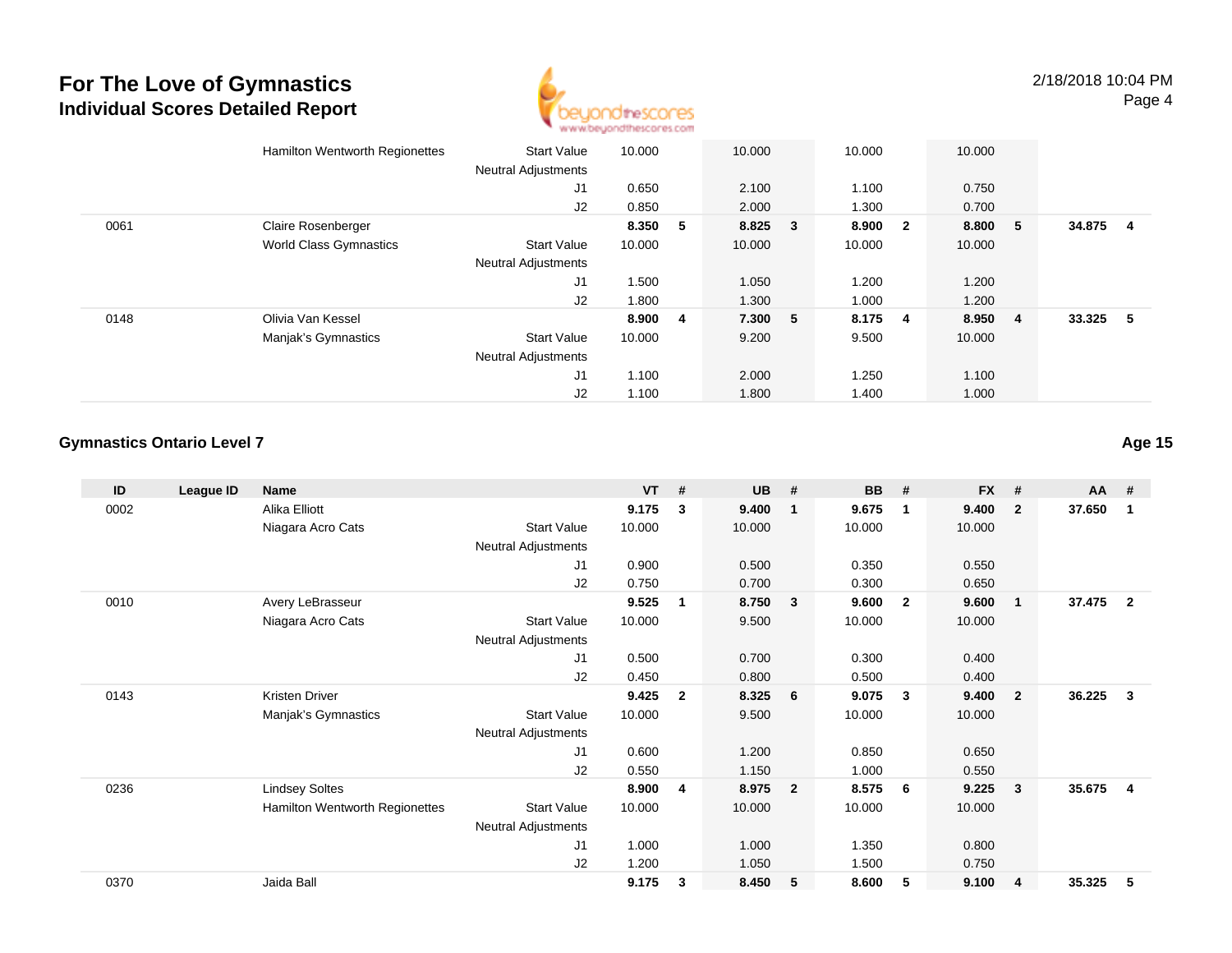

|      | Hamilton Wentworth Regionettes | <b>Start Value</b><br><b>Neutral Adjustments</b> | 10.000 |    | 10.000  | 10.000 |                         | 10.000 |                |          |     |
|------|--------------------------------|--------------------------------------------------|--------|----|---------|--------|-------------------------|--------|----------------|----------|-----|
|      |                                | J1                                               | 0.650  |    | 2.100   | 1.100  |                         | 0.750  |                |          |     |
|      |                                | J2                                               | 0.850  |    | 2.000   | 1.300  |                         | 0.700  |                |          |     |
| 0061 | Claire Rosenberger             |                                                  | 8.350  | 5  | 8.825 3 | 8.900  | $\overline{\mathbf{2}}$ | 8.800  | 5 <sub>5</sub> | 34.875   | - 4 |
|      | <b>World Class Gymnastics</b>  | <b>Start Value</b>                               | 10.000 |    | 10.000  | 10.000 |                         | 10.000 |                |          |     |
|      |                                | <b>Neutral Adjustments</b>                       |        |    |         |        |                         |        |                |          |     |
|      |                                | J1                                               | 1.500  |    | 1.050   | 1.200  |                         | 1.200  |                |          |     |
|      |                                | J2                                               | 1.800  |    | 1.300   | 1.000  |                         | 1.200  |                |          |     |
| 0148 | Olivia Van Kessel              |                                                  | 8.900  | -4 | 7.300 5 | 8.175  | $\overline{4}$          | 8.950  | $\overline{4}$ | 33.325 5 |     |
|      | Manjak's Gymnastics            | <b>Start Value</b>                               | 10.000 |    | 9.200   | 9.500  |                         | 10.000 |                |          |     |
|      |                                | <b>Neutral Adjustments</b>                       |        |    |         |        |                         |        |                |          |     |
|      |                                | J1                                               | 1.100  |    | 2.000   | .250   |                         | 1.100  |                |          |     |
|      |                                | J2                                               | 1.100  |    | 1.800   | 1.400  |                         | 1.000  |                |          |     |

### **Gymnastics Ontario Level 7**

| ID   | League ID | <b>Name</b>                           |                            | <b>VT</b> | #            | <b>UB</b> | #              | <b>BB</b> | #              | <b>FX</b> | - #                     | AA     | - #                     |
|------|-----------|---------------------------------------|----------------------------|-----------|--------------|-----------|----------------|-----------|----------------|-----------|-------------------------|--------|-------------------------|
| 0002 |           | Alika Elliott                         |                            | 9.175     | 3            | 9.400     | 1              | 9.675     | $\mathbf 1$    | 9.400     | $\overline{\mathbf{2}}$ | 37.650 | $\overline{\mathbf{1}}$ |
|      |           | Niagara Acro Cats                     | <b>Start Value</b>         | 10.000    |              | 10.000    |                | 10.000    |                | 10.000    |                         |        |                         |
|      |           |                                       | Neutral Adjustments        |           |              |           |                |           |                |           |                         |        |                         |
|      |           |                                       | J1                         | 0.900     |              | 0.500     |                | 0.350     |                | 0.550     |                         |        |                         |
|      |           |                                       | J2                         | 0.750     |              | 0.700     |                | 0.300     |                | 0.650     |                         |        |                         |
| 0010 |           | Avery LeBrasseur                      |                            | 9.525     | 1            | 8.750     | 3              | 9.600     | $\overline{2}$ | 9.600     | - 1                     | 37.475 | $\overline{2}$          |
|      |           | Niagara Acro Cats                     | <b>Start Value</b>         | 10.000    |              | 9.500     |                | 10.000    |                | 10.000    |                         |        |                         |
|      |           |                                       | <b>Neutral Adjustments</b> |           |              |           |                |           |                |           |                         |        |                         |
|      |           |                                       | J <sub>1</sub>             | 0.500     |              | 0.700     |                | 0.300     |                | 0.400     |                         |        |                         |
|      |           |                                       | J2                         | 0.450     |              | 0.800     |                | 0.500     |                | 0.400     |                         |        |                         |
| 0143 |           | Kristen Driver                        |                            | 9.425     | $\mathbf{2}$ | 8.325     | 6              | 9.075     | $\mathbf{3}$   | 9.400     | $\overline{\mathbf{2}}$ | 36.225 | $\overline{\mathbf{3}}$ |
|      |           | Manjak's Gymnastics                   | <b>Start Value</b>         | 10.000    |              | 9.500     |                | 10.000    |                | 10.000    |                         |        |                         |
|      |           |                                       | Neutral Adjustments        |           |              |           |                |           |                |           |                         |        |                         |
|      |           |                                       | J1                         | 0.600     |              | 1.200     |                | 0.850     |                | 0.650     |                         |        |                         |
|      |           |                                       | J2                         | 0.550     |              | 1.150     |                | 1.000     |                | 0.550     |                         |        |                         |
| 0236 |           | <b>Lindsey Soltes</b>                 |                            | 8.900     | 4            | 8.975     | $\overline{2}$ | 8.575     | - 6            | 9.225     | $\overline{\mathbf{3}}$ | 35.675 | -4                      |
|      |           | <b>Hamilton Wentworth Regionettes</b> | <b>Start Value</b>         | 10.000    |              | 10.000    |                | 10.000    |                | 10.000    |                         |        |                         |
|      |           |                                       | <b>Neutral Adjustments</b> |           |              |           |                |           |                |           |                         |        |                         |
|      |           |                                       | J1                         | 1.000     |              | 1.000     |                | 1.350     |                | 0.800     |                         |        |                         |
|      |           |                                       | J2                         | 1.200     |              | 1.050     |                | 1.500     |                | 0.750     |                         |        |                         |
| 0370 |           | Jaida Ball                            |                            | 9.175     | 3            | 8.450     | 5              | 8.600     | 5              | 9.100     | $\overline{4}$          | 35.325 | -5                      |

**Age 15**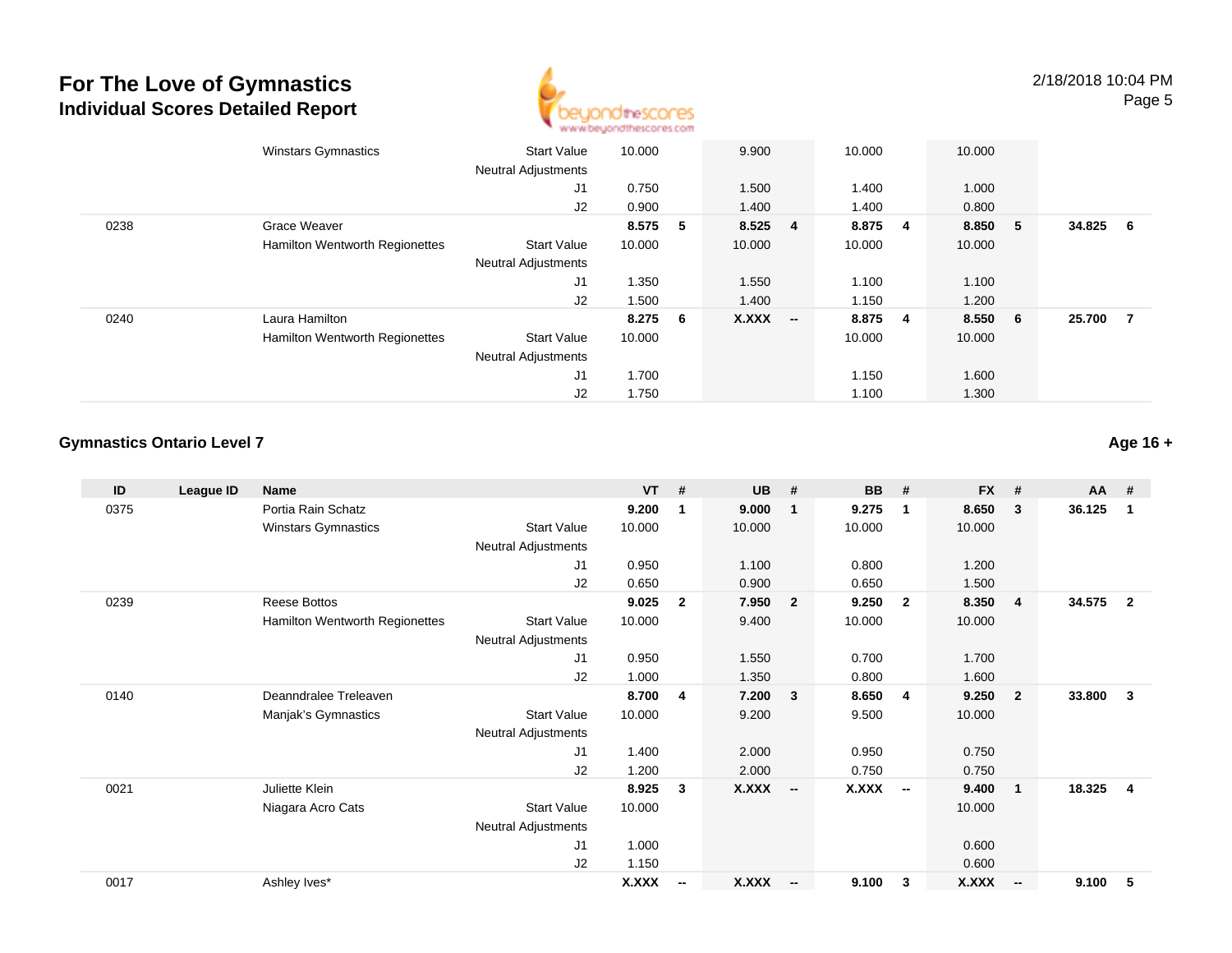

|      | <b>Winstars Gymnastics</b>     | <b>Start Value</b><br><b>Neutral Adjustments</b> | 10.000  |    | 9.900   |                          | 10.000 |     | 10.000  |        |                |
|------|--------------------------------|--------------------------------------------------|---------|----|---------|--------------------------|--------|-----|---------|--------|----------------|
|      |                                | J1                                               | 0.750   |    | 1.500   |                          | 1.400  |     | 1.000   |        |                |
|      |                                | J2                                               | 0.900   |    | 1.400   |                          | 1.400  |     | 0.800   |        |                |
| 0238 | Grace Weaver                   |                                                  | 8.575   | -5 | 8.525 4 |                          | 8.875  | - 4 | 8.850 5 | 34.825 | - 6            |
|      | Hamilton Wentworth Regionettes | <b>Start Value</b>                               | 10.000  |    | 10.000  |                          | 10.000 |     | 10.000  |        |                |
|      |                                | <b>Neutral Adjustments</b>                       |         |    |         |                          |        |     |         |        |                |
|      |                                | J1                                               | 1.350   |    | 1.550   |                          | 1.100  |     | 1.100   |        |                |
|      |                                | J2                                               | 1.500   |    | 1.400   |                          | 1.150  |     | 1.200   |        |                |
| 0240 | Laura Hamilton                 |                                                  | 8.275 6 |    | X.XXX   | $\overline{\phantom{a}}$ | 8.875  | - 4 | 8.550 6 | 25.700 | $\overline{7}$ |
|      | Hamilton Wentworth Regionettes | <b>Start Value</b>                               | 10.000  |    |         |                          | 10.000 |     | 10.000  |        |                |
|      |                                | <b>Neutral Adjustments</b>                       |         |    |         |                          |        |     |         |        |                |
|      |                                | J1                                               | 1.700   |    |         |                          | 1.150  |     | 1.600   |        |                |
|      |                                | J2                                               | 1.750   |    |         |                          | 1.100  |     | 1.300   |        |                |

### **Gymnastics Ontario Level 7**

| ID   | League ID | <b>Name</b>                    |                            | <b>VT</b> | #                        | <b>UB</b>    | #                       | <b>BB</b>    | #                        | <b>FX</b>    | #                        | AA     | #              |
|------|-----------|--------------------------------|----------------------------|-----------|--------------------------|--------------|-------------------------|--------------|--------------------------|--------------|--------------------------|--------|----------------|
| 0375 |           | Portia Rain Schatz             |                            | 9.200     | -1                       | 9.000        | -1                      | 9.275        | $\overline{1}$           | 8.650        | 3                        | 36.125 | $\overline{1}$ |
|      |           | <b>Winstars Gymnastics</b>     | <b>Start Value</b>         | 10.000    |                          | 10.000       |                         | 10.000       |                          | 10.000       |                          |        |                |
|      |           |                                | <b>Neutral Adjustments</b> |           |                          |              |                         |              |                          |              |                          |        |                |
|      |           |                                | J1                         | 0.950     |                          | 1.100        |                         | 0.800        |                          | 1.200        |                          |        |                |
|      |           |                                | J2                         | 0.650     |                          | 0.900        |                         | 0.650        |                          | 1.500        |                          |        |                |
| 0239 |           | <b>Reese Bottos</b>            |                            | 9.025     | $\overline{2}$           | 7.950        | $\overline{2}$          | 9.250        | $\mathbf{2}$             | 8.350        | -4                       | 34.575 | $\overline{2}$ |
|      |           | Hamilton Wentworth Regionettes | <b>Start Value</b>         | 10.000    |                          | 9.400        |                         | 10.000       |                          | 10.000       |                          |        |                |
|      |           |                                | <b>Neutral Adjustments</b> |           |                          |              |                         |              |                          |              |                          |        |                |
|      |           |                                | J1                         | 0.950     |                          | 1.550        |                         | 0.700        |                          | 1.700        |                          |        |                |
|      |           |                                | J2                         | 1.000     |                          | 1.350        |                         | 0.800        |                          | 1.600        |                          |        |                |
| 0140 |           | Deanndralee Treleaven          |                            | 8.700     | 4                        | 7.200        | $\overline{\mathbf{3}}$ | 8.650        | $\overline{4}$           | 9.250        | $\overline{2}$           | 33.800 | 3              |
|      |           | Manjak's Gymnastics            | <b>Start Value</b>         | 10.000    |                          | 9.200        |                         | 9.500        |                          | 10.000       |                          |        |                |
|      |           |                                | <b>Neutral Adjustments</b> |           |                          |              |                         |              |                          |              |                          |        |                |
|      |           |                                | J1                         | 1.400     |                          | 2.000        |                         | 0.950        |                          | 0.750        |                          |        |                |
|      |           |                                | J2                         | 1.200     |                          | 2.000        |                         | 0.750        |                          | 0.750        |                          |        |                |
| 0021 |           | Juliette Klein                 |                            | 8.925     | 3                        | <b>X.XXX</b> | $\sim$                  | <b>X.XXX</b> | $\overline{\phantom{a}}$ | 9.400        | $\overline{\mathbf{1}}$  | 18.325 | 4              |
|      |           | Niagara Acro Cats              | <b>Start Value</b>         | 10.000    |                          |              |                         |              |                          | 10.000       |                          |        |                |
|      |           |                                | <b>Neutral Adjustments</b> |           |                          |              |                         |              |                          |              |                          |        |                |
|      |           |                                | J <sub>1</sub>             | 1.000     |                          |              |                         |              |                          | 0.600        |                          |        |                |
|      |           |                                | J2                         | 1.150     |                          |              |                         |              |                          | 0.600        |                          |        |                |
| 0017 |           | Ashley Ives*                   |                            | X.XXX     | $\overline{\phantom{a}}$ | X.XXX        | $-$                     | 9.100        | 3                        | <b>X.XXX</b> | $\overline{\phantom{a}}$ | 9.100  | 5              |

**Age 16 +**